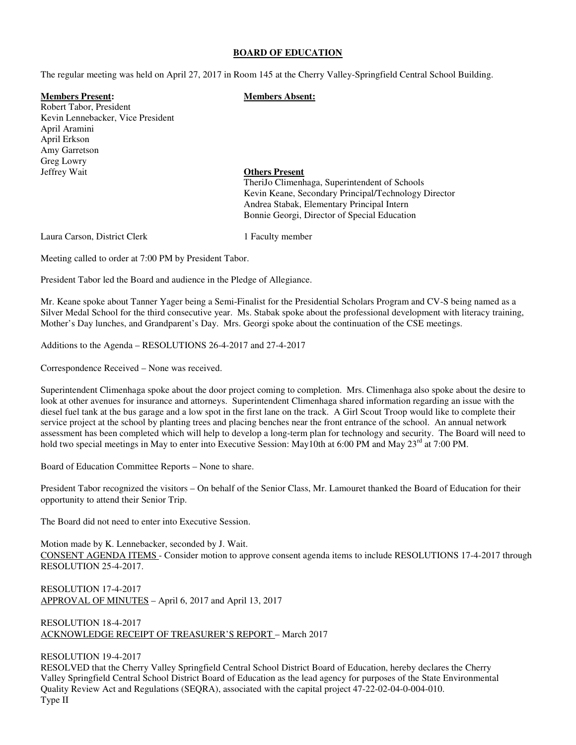#### **BOARD OF EDUCATION**

The regular meeting was held on April 27, 2017 in Room 145 at the Cherry Valley-Springfield Central School Building.

## **Members Present: Members Absent:**

Robert Tabor, President Kevin Lennebacker, Vice President April Aramini April Erkson Amy Garretson Greg Lowry Jeffrey Wait **Others Present**

 TheriJo Climenhaga, Superintendent of Schools Kevin Keane, Secondary Principal/Technology Director Andrea Stabak, Elementary Principal Intern Bonnie Georgi, Director of Special Education

Laura Carson, District Clerk 1 Faculty member

Meeting called to order at 7:00 PM by President Tabor.

President Tabor led the Board and audience in the Pledge of Allegiance.

Mr. Keane spoke about Tanner Yager being a Semi-Finalist for the Presidential Scholars Program and CV-S being named as a Silver Medal School for the third consecutive year. Ms. Stabak spoke about the professional development with literacy training, Mother's Day lunches, and Grandparent's Day. Mrs. Georgi spoke about the continuation of the CSE meetings.

Additions to the Agenda – RESOLUTIONS 26-4-2017 and 27-4-2017

Correspondence Received – None was received.

Superintendent Climenhaga spoke about the door project coming to completion. Mrs. Climenhaga also spoke about the desire to look at other avenues for insurance and attorneys. Superintendent Climenhaga shared information regarding an issue with the diesel fuel tank at the bus garage and a low spot in the first lane on the track. A Girl Scout Troop would like to complete their service project at the school by planting trees and placing benches near the front entrance of the school. An annual network assessment has been completed which will help to develop a long-term plan for technology and security. The Board will need to hold two special meetings in May to enter into Executive Session: May10th at 6:00 PM and May  $23<sup>rd</sup>$  at 7:00 PM.

Board of Education Committee Reports – None to share.

President Tabor recognized the visitors – On behalf of the Senior Class, Mr. Lamouret thanked the Board of Education for their opportunity to attend their Senior Trip.

The Board did not need to enter into Executive Session.

Motion made by K. Lennebacker, seconded by J. Wait. CONSENT AGENDA ITEMS - Consider motion to approve consent agenda items to include RESOLUTIONS 17-4-2017 through RESOLUTION 25-4-2017.

RESOLUTION 17-4-2017 APPROVAL OF MINUTES – April 6, 2017 and April 13, 2017

RESOLUTION 18-4-2017 ACKNOWLEDGE RECEIPT OF TREASURER'S REPORT – March 2017

# RESOLUTION 19-4-2017

RESOLVED that the Cherry Valley Springfield Central School District Board of Education, hereby declares the Cherry Valley Springfield Central School District Board of Education as the lead agency for purposes of the State Environmental Quality Review Act and Regulations (SEQRA), associated with the capital project 47-22-02-04-0-004-010. Type II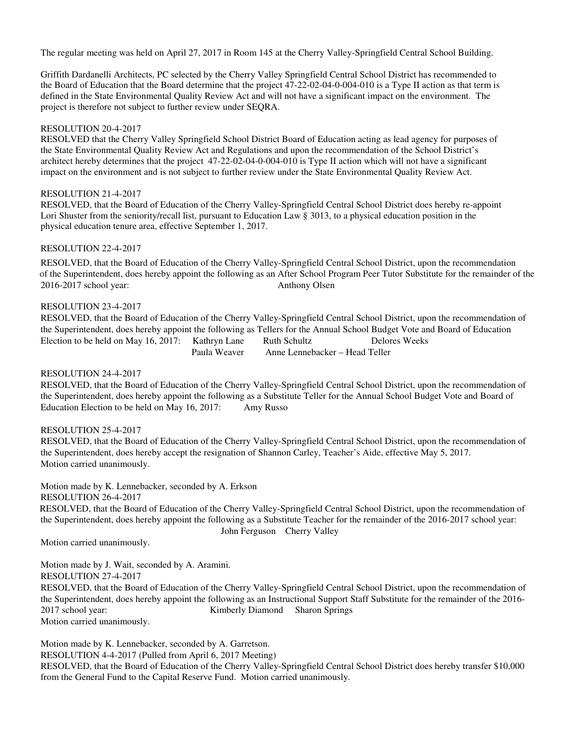The regular meeting was held on April 27, 2017 in Room 145 at the Cherry Valley-Springfield Central School Building.

Griffith Dardanelli Architects, PC selected by the Cherry Valley Springfield Central School District has recommended to the Board of Education that the Board determine that the project 47-22-02-04-0-004-010 is a Type II action as that term is defined in the State Environmental Quality Review Act and will not have a significant impact on the environment. The project is therefore not subject to further review under SEQRA.

## RESOLUTION 20-4-2017

RESOLVED that the Cherry Valley Springfield School District Board of Education acting as lead agency for purposes of the State Environmental Quality Review Act and Regulations and upon the recommendation of the School District's architect hereby determines that the project 47-22-02-04-0-004-010 is Type II action which will not have a significant impact on the environment and is not subject to further review under the State Environmental Quality Review Act.

### RESOLUTION 21-4-2017

RESOLVED, that the Board of Education of the Cherry Valley-Springfield Central School District does hereby re-appoint Lori Shuster from the seniority/recall list, pursuant to Education Law § 3013, to a physical education position in the physical education tenure area, effective September 1, 2017.

## RESOLUTION 22-4-2017

 RESOLVED, that the Board of Education of the Cherry Valley-Springfield Central School District, upon the recommendation of the Superintendent, does hereby appoint the following as an After School Program Peer Tutor Substitute for the remainder of the 2016-2017 school year: Anthony Olsen

## RESOLUTION 23-4-2017

RESOLVED, that the Board of Education of the Cherry Valley-Springfield Central School District, upon the recommendation of the Superintendent, does hereby appoint the following as Tellers for the Annual School Budget Vote and Board of Education Election to be held on May 16, 2017: Kathryn Lane Ruth Schultz Delores Weeks<br>Paula Weaver Anne Lennebacker – Head Teller Anne Lennebacker – Head Teller

## RESOLUTION 24-4-2017

RESOLVED, that the Board of Education of the Cherry Valley-Springfield Central School District, upon the recommendation of the Superintendent, does hereby appoint the following as a Substitute Teller for the Annual School Budget Vote and Board of Education Election to be held on May 16, 2017: Amy Russo

### RESOLUTION 25-4-2017

RESOLVED, that the Board of Education of the Cherry Valley-Springfield Central School District, upon the recommendation of the Superintendent, does hereby accept the resignation of Shannon Carley, Teacher's Aide, effective May 5, 2017. Motion carried unanimously.

Motion made by K. Lennebacker, seconded by A. Erkson RESOLUTION 26-4-2017 RESOLVED, that the Board of Education of the Cherry Valley-Springfield Central School District, upon the recommendation of the Superintendent, does hereby appoint the following as a Substitute Teacher for the remainder of the 2016-2017 school year: John Ferguson Cherry Valley

Motion carried unanimously.

Motion made by J. Wait, seconded by A. Aramini.

#### RESOLUTION 27-4-2017

 RESOLVED, that the Board of Education of the Cherry Valley-Springfield Central School District, upon the recommendation of the Superintendent, does hereby appoint the following as an Instructional Support Staff Substitute for the remainder of the 2016- 2017 school year: Kimberly Diamond Sharon Springs Motion carried unanimously.

Motion made by K. Lennebacker, seconded by A. Garretson.

RESOLUTION 4-4-2017 (Pulled from April 6, 2017 Meeting)

RESOLVED, that the Board of Education of the Cherry Valley-Springfield Central School District does hereby transfer \$10,000 from the General Fund to the Capital Reserve Fund. Motion carried unanimously.